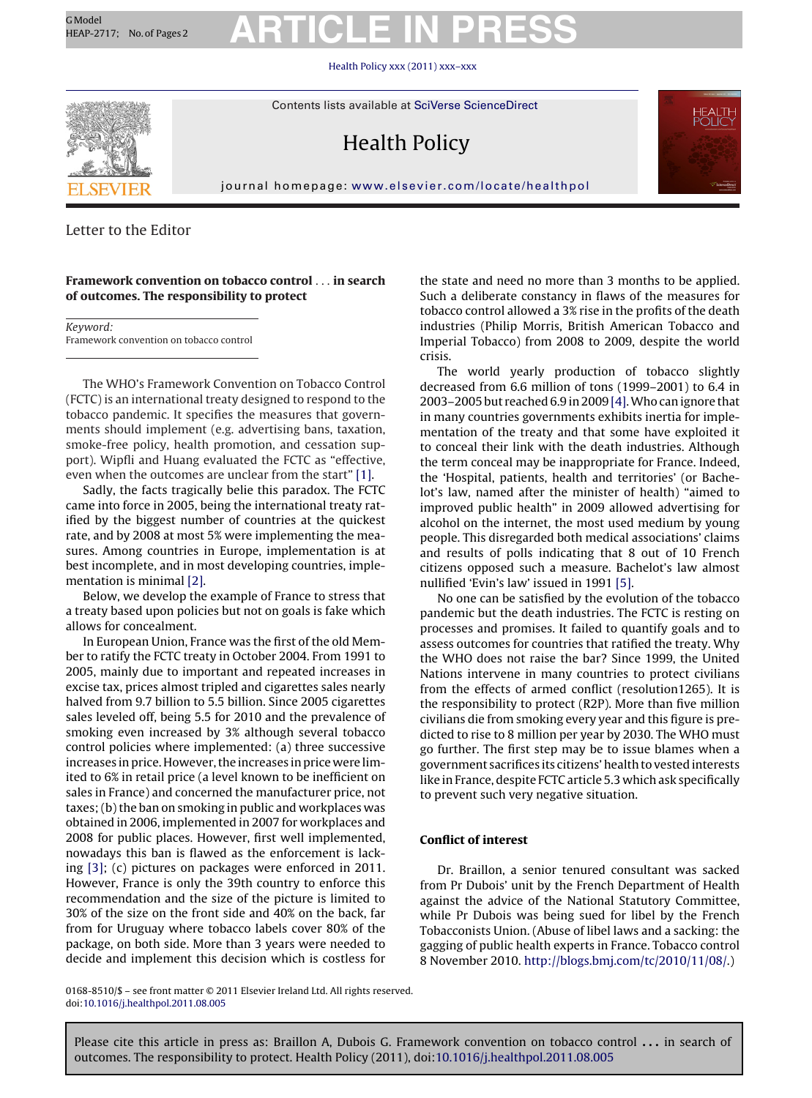# GModel REAP-2717: No.of Pages2 **ARTICLE IN PRESS**

Health Policy [xxx \(2011\) xxx–xxx](dx.doi.org/10.1016/j.healthpol.2011.08.005)



Contents lists available at SciVerse [ScienceDirect](http://www.sciencedirect.com/science/journal/01688510)

## Health Policy



journal homepage: [www.elsevier.com/locate/healthpol](http://www.elsevier.com/locate/healthpol)

Letter to the Editor

**Framework convention on tobacco control** . . . **in search of outcomes. The responsibility to protect**

Keyword: Framework convention on tobacco control

The WHO's Framework Convention on Tobacco Control (FCTC) is an international treaty designed to respond to the tobacco pandemic. It specifies the measures that governments should implement (e.g. advertising bans, taxation, smoke-free policy, health promotion, and cessation support). Wipfli and Huang evaluated the FCTC as "effective, even when the outcomes are unclear from the start" [\[1\].](#page-1-0)

Sadly, the facts tragically belie this paradox. The FCTC came into force in 2005, being the international treaty ratified by the biggest number of countries at the quickest rate, and by 2008 at most 5% were implementing the measures. Among countries in Europe, implementation is at best incomplete, and in most developing countries, implementation is minimal [\[2\].](#page-1-0)

Below, we develop the example of France to stress that a treaty based upon policies but not on goals is fake which allows for concealment.

In European Union, France was the first of the old Member to ratify the FCTC treaty in October 2004. From 1991 to 2005, mainly due to important and repeated increases in excise tax, prices almost tripled and cigarettes sales nearly halved from 9.7 billion to 5.5 billion. Since 2005 cigarettes sales leveled off, being 5.5 for 2010 and the prevalence of smoking even increased by 3% although several tobacco control policies where implemented: (a) three successive increases in price. However, the increases in price were limited to 6% in retail price (a level known to be inefficient on sales in France) and concerned the manufacturer price, not taxes; (b) the ban on smoking in public and workplaces was obtained in 2006, implemented in 2007 for workplaces and 2008 for public places. However, first well implemented, nowadays this ban is flawed as the enforcement is lacking [\[3\];](#page-1-0) (c) pictures on packages were enforced in 2011. However, France is only the 39th country to enforce this recommendation and the size of the picture is limited to 30% of the size on the front side and 40% on the back, far from for Uruguay where tobacco labels cover 80% of the package, on both side. More than 3 years were needed to decide and implement this decision which is costless for

the state and need no more than 3 months to be applied. Such a deliberate constancy in flaws of the measures for tobacco control allowed a 3% rise in the profits of the death industries (Philip Morris, British American Tobacco and Imperial Tobacco) from 2008 to 2009, despite the world crisis.

The world yearly production of tobacco slightly decreased from 6.6 million of tons (1999–2001) to 6.4 in 2003–2005 but reached6.9 in2009 [\[4\].W](#page-1-0)ho canignore that in many countries governments exhibits inertia for implementation of the treaty and that some have exploited it to conceal their link with the death industries. Although the term conceal may be inappropriate for France. Indeed, the 'Hospital, patients, health and territories' (or Bachelot's law, named after the minister of health) "aimed to improved public health" in 2009 allowed advertising for alcohol on the internet, the most used medium by young people. This disregarded both medical associations' claims and results of polls indicating that 8 out of 10 French citizens opposed such a measure. Bachelot's law almost nullified 'Evin's law' issued in 1991 [\[5\].](#page-1-0)

No one can be satisfied by the evolution of the tobacco pandemic but the death industries. The FCTC is resting on processes and promises. It failed to quantify goals and to assess outcomes for countries that ratified the treaty. Why the WHO does not raise the bar? Since 1999, the United Nations intervene in many countries to protect civilians from the effects of armed conflict (resolution1265). It is the responsibility to protect (R2P). More than five million civilians die from smoking every year and this figure is predicted to rise to 8 million per year by 2030. The WHO must go further. The first step may be to issue blames when a government sacrifices its citizens' health to vested interests like in France, despite FCTC article 5.3 which ask specifically to prevent such very negative situation.

### **Conflict of interest**

Dr. Braillon, a senior tenured consultant was sacked from Pr Dubois' unit by the French Department of Health against the advice of the National Statutory Committee, while Pr Dubois was being sued for libel by the French Tobacconists Union. (Abuse of libel laws and a sacking: the gagging of public health experts in France. Tobacco control 8 November 2010. <http://blogs.bmj.com/tc/2010/11/08/>.)

0168-8510/\$ – see front matter © 2011 Elsevier Ireland Ltd. All rights reserved. doi:[10.1016/j.healthpol.2011.08.005](dx.doi.org/10.1016/j.healthpol.2011.08.005)

Please cite this article in press as: Braillon A, Dubois G. Framework convention on tobacco control **...** in search of outcomes. The responsibility to protect. Health Policy (2011), doi:[10.1016/j.healthpol.2011.08.005](dx.doi.org/10.1016/j.healthpol.2011.08.005)